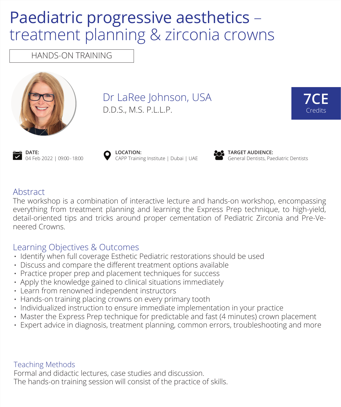# Paediatric progressive aesthetics – treatment planning & zirconia crowns

HANDS-ON TRAINING



Dr LaRee Johnson, USA D.D.S., M.S. P.L.L.P.





**LOCATION:** CAPP Training Institute | Dubai | UAE



**TARGET AUDIENCE:** General Dentists, Paediatric Dentists

### Abstract

The workshop is a combination of interactive lecture and hands-on workshop, encompassing everything from treatment planning and learning the Express Prep technique, to high-yield, detail-oriented tips and tricks around proper cementation of Pediatric Zirconia and Pre-Veneered Crowns.

## Learning Objectives & Outcomes

- Identify when full coverage Esthetic Pediatric restorations should be used
- $\cdot$  Discuss and compare the different treatment options available
- Practice proper prep and placement techniques for success
- $\cdot$  Apply the knowledge gained to clinical situations immediately
- Learn from renowned independent instructors
- Hands-on training placing crowns on every primary tooth
- Individualized instruction to ensure immediate implementation in your practice
- Master the Express Prep technique for predictable and fast (4 minutes) crown placement •
- $\cdot$  Expert advice in diagnosis, treatment planning, common errors, troubleshooting and more

#### Teaching Methods

Formal and didactic lectures, case studies and discussion. The hands-on training session will consist of the practice of skills.